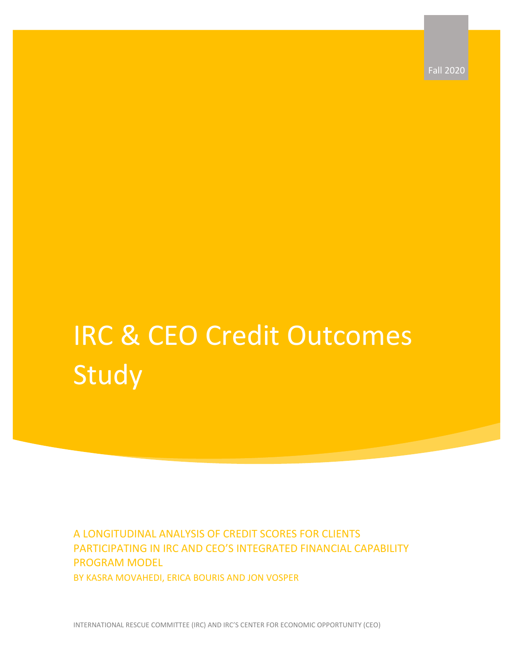Fall 2020

# IRC & CEO Credit Outcomes Study

A LONGITUDINAL ANALYSIS OF CREDIT SCORES FOR CLIENTS PARTICIPATING IN IRC AND CEO'S INTEGRATED FINANCIAL CAPABILITY PROGRAM MODEL BY KASRA MOVAHEDI, ERICA BOURIS AND JON VOSPER

INTERNATIONAL RESCUE COMMITTEE (IRC) AND IRC'S CENTER FOR ECONOMIC OPPORTUNITY (CEO)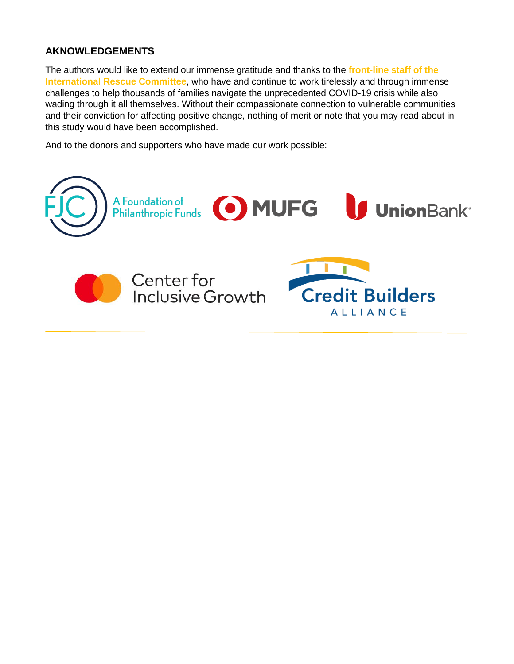#### **AKNOWLEDGEMENTS**

The authors would like to extend our immense gratitude and thanks to the **front-line staff of the International Rescue Committee**, who have and continue to work tirelessly and through immense challenges to help thousands of families navigate the unprecedented COVID-19 crisis while also wading through it all themselves. Without their compassionate connection to vulnerable communities and their conviction for affecting positive change, nothing of merit or note that you may read about in this study would have been accomplished.

And to the donors and supporters who have made our work possible:

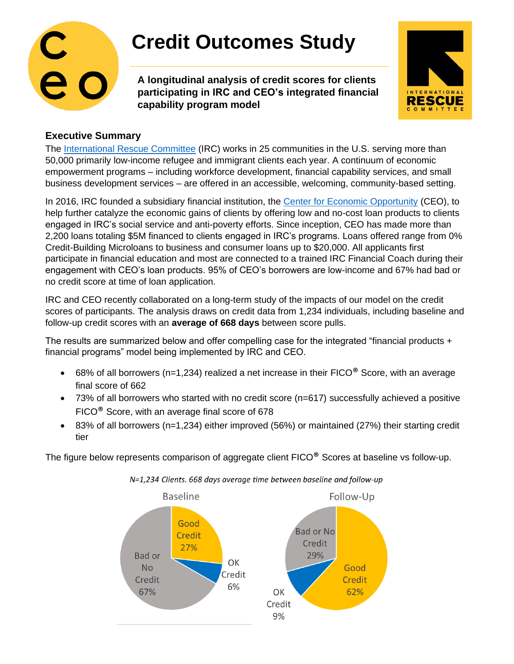

## **Credit Outcomes Study**

**A longitudinal analysis of credit scores for clients participating in IRC and CEO's integrated financial capability program model**



### **Executive Summary**

The [International Rescue Committee](http://www.rescue.org/) (IRC) works in 25 communities in the U.S. serving more than 50,000 primarily low-income refugee and immigrant clients each year. A continuum of economic empowerment programs – including workforce development, financial capability services, and small business development services – are offered in an accessible, welcoming, community-based setting.

In 2016, IRC founded a subsidiary financial institution, the [Center for Economic Opportunity](http://www.irc-ceo.org/) (CEO), to help further catalyze the economic gains of clients by offering low and no-cost loan products to clients engaged in IRC's social service and anti-poverty efforts. Since inception, CEO has made more than 2,200 loans totaling \$5M financed to clients engaged in IRC's programs. Loans offered range from 0% Credit-Building Microloans to business and consumer loans up to \$20,000. All applicants first participate in financial education and most are connected to a trained IRC Financial Coach during their engagement with CEO's loan products. 95% of CEO's borrowers are low-income and 67% had bad or no credit score at time of loan application.

IRC and CEO recently collaborated on a long-term study of the impacts of our model on the credit scores of participants. The analysis draws on credit data from 1,234 individuals, including baseline and follow-up credit scores with an **average of 668 days** between score pulls.

The results are summarized below and offer compelling case for the integrated "financial products + financial programs" model being implemented by IRC and CEO.

- 68% of all borrowers (n=1,234) realized a net increase in their  $FICO^@$  Score, with an average final score of 662
- 73% of all borrowers who started with no credit score (n=617) successfully achieved a positive FICO® Score, with an average final score of 678
- 83% of all borrowers (n=1,234) either improved (56%) or maintained (27%) their starting credit tier

The figure below represents comparison of aggregate client FICO<sup>®</sup> Scores at baseline vs follow-up.



N=1,234 Clients. 668 days average time between baseline and follow-up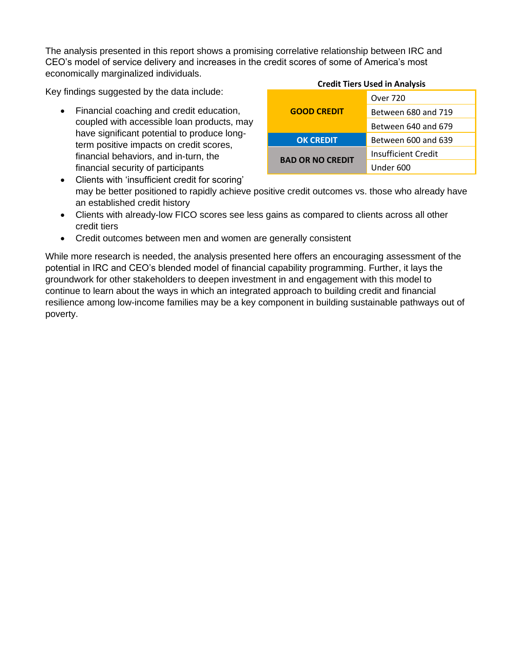The analysis presented in this report shows a promising correlative relationship between IRC and CEO's model of service delivery and increases in the credit scores of some of America's most economically marginalized individuals. **Credit Tiers Used in Analysis**

Key findings suggested by the data include:

• Financial coaching and credit education, coupled with accessible loan products, may have significant potential to produce longterm positive impacts on credit scores, financial behaviors, and in-turn, the financial security of participants

| Credit Tiers Used in Analysis |                     |  |
|-------------------------------|---------------------|--|
| <b>GOOD CREDIT</b>            | Over 720            |  |
|                               | Between 680 and 719 |  |
|                               | Between 640 and 679 |  |
| <b>OK CREDIT</b>              | Between 600 and 639 |  |
| <b>BAD OR NO CREDIT</b>       | Insufficient Credit |  |
|                               | Under 600           |  |

- Clients with 'insufficient credit for scoring' may be better positioned to rapidly achieve positive credit outcomes vs. those who already have an established credit history
- Clients with already-low FICO scores see less gains as compared to clients across all other credit tiers
- Credit outcomes between men and women are generally consistent

While more research is needed, the analysis presented here offers an encouraging assessment of the potential in IRC and CEO's blended model of financial capability programming. Further, it lays the groundwork for other stakeholders to deepen investment in and engagement with this model to continue to learn about the ways in which an integrated approach to building credit and financial resilience among low-income families may be a key component in building sustainable pathways out of poverty.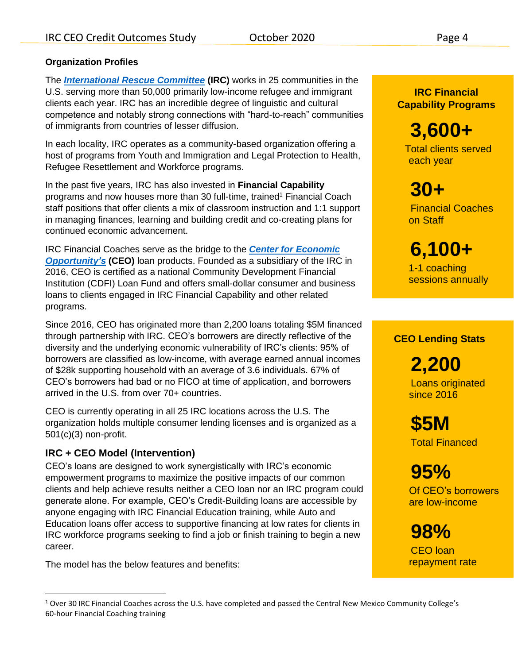#### **Organization Profiles**

The *[International Rescue Committee](http://www.rescue.org/)* **(IRC)** works in 25 communities in the U.S. serving more than 50,000 primarily low-income refugee and immigrant clients each year. IRC has an incredible degree of linguistic and cultural competence and notably strong connections with "hard-to-reach" communities of immigrants from countries of lesser diffusion.

In each locality, IRC operates as a community-based organization offering a host of programs from Youth and Immigration and Legal Protection to Health, Refugee Resettlement and Workforce programs.

In the past five years, IRC has also invested in **Financial Capability** programs and now houses more than 30 full-time, trained<sup>1</sup> Financial Coach staff positions that offer clients a mix of classroom instruction and 1:1 support in managing finances, learning and building credit and co-creating plans for continued economic advancement.

IRC Financial Coaches serve as the bridge to the *[Center for Economic](http://www.irc-ceo.org/)  [Opportunity's](http://www.irc-ceo.org/)* **(CEO)** loan products. Founded as a subsidiary of the IRC in 2016, CEO is certified as a national Community Development Financial Institution (CDFI) Loan Fund and offers small-dollar consumer and business loans to clients engaged in IRC Financial Capability and other related programs.

Since 2016, CEO has originated more than 2,200 loans totaling \$5M financed through partnership with IRC. CEO's borrowers are directly reflective of the diversity and the underlying economic vulnerability of IRC's clients: 95% of borrowers are classified as low-income, with average earned annual incomes of \$28k supporting household with an average of 3.6 individuals. 67% of CEO's borrowers had bad or no FICO at time of application, and borrowers arrived in the U.S. from over 70+ countries.

CEO is currently operating in all 25 IRC locations across the U.S. The organization holds multiple consumer lending licenses and is organized as a 501(c)(3) non-profit.

#### **IRC + CEO Model (Intervention)**

CEO's loans are designed to work synergistically with IRC's economic empowerment programs to maximize the positive impacts of our common clients and help achieve results neither a CEO loan nor an IRC program could generate alone. For example, CEO's Credit-Building loans are accessible by anyone engaging with IRC Financial Education training, while Auto and Education loans offer access to supportive financing at low rates for clients in IRC workforce programs seeking to find a job or finish training to begin a new career.

The model has the below features and benefits:

**IRC Financial Capability Programs**

 **3,600+** Total clients served each year

 **30+** Financial Coaches on Staff

 **6,100+** 1-1 coaching sessions annually

#### **CEO Lending Stats**

 **2,200** Loans originated since 2016

 **\$5M** Total Financed

 **95%** Of CEO's borrowers

are low-income

 **98%** CEO loan repayment rate

 $1$  Over 30 IRC Financial Coaches across the U.S. have completed and passed the Central New Mexico Community College's 60-hour Financial Coaching training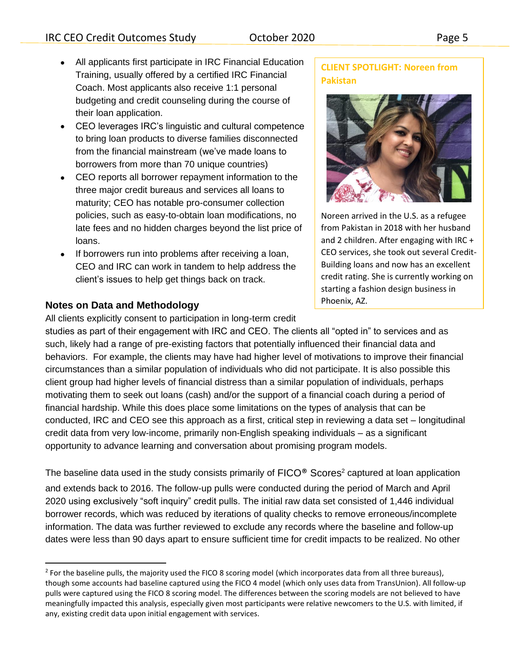- All applicants first participate in IRC Financial Education Training, usually offered by a certified IRC Financial Coach. Most applicants also receive 1:1 personal budgeting and credit counseling during the course of their loan application.
- CEO leverages IRC's linguistic and cultural competence to bring loan products to diverse families disconnected from the financial mainstream (we've made loans to borrowers from more than 70 unique countries)
- CEO reports all borrower repayment information to the three major credit bureaus and services all loans to maturity; CEO has notable pro-consumer collection policies, such as easy-to-obtain loan modifications, no late fees and no hidden charges beyond the list price of loans.
- If borrowers run into problems after receiving a loan, CEO and IRC can work in tandem to help address the client's issues to help get things back on track.

#### **Notes on Data and Methodology**

All clients explicitly consent to participation in long-term credit

#### **CLIENT SPOTLIGHT: Noreen from Pakistan**



Noreen arrived in the U.S. as a refugee from Pakistan in 2018 with her husband and 2 children. After engaging with IRC + CEO services, she took out several Credit-Building loans and now has an excellent credit rating. She is currently working on starting a fashion design business in Phoenix, AZ.

studies as part of their engagement with IRC and CEO. The clients all "opted in" to services and as such, likely had a range of pre-existing factors that potentially influenced their financial data and behaviors. For example, the clients may have had higher level of motivations to improve their financial circumstances than a similar population of individuals who did not participate. It is also possible this client group had higher levels of financial distress than a similar population of individuals, perhaps motivating them to seek out loans (cash) and/or the support of a financial coach during a period of financial hardship. While this does place some limitations on the types of analysis that can be conducted, IRC and CEO see this approach as a first, critical step in reviewing a data set – longitudinal credit data from very low-income, primarily non-English speaking individuals – as a significant opportunity to advance learning and conversation about promising program models.

The baseline data used in the study consists primarily of  $\mathsf{FICO}^\circ$  Scores<sup>2</sup> captured at loan application and extends back to 2016. The follow-up pulls were conducted during the period of March and April 2020 using exclusively "soft inquiry" credit pulls. The initial raw data set consisted of 1,446 individual borrower records, which was reduced by iterations of quality checks to remove erroneous/incomplete information. The data was further reviewed to exclude any records where the baseline and follow-up dates were less than 90 days apart to ensure sufficient time for credit impacts to be realized. No other

<sup>&</sup>lt;sup>2</sup> For the baseline pulls, the majority used the FICO 8 scoring model (which incorporates data from all three bureaus), though some accounts had baseline captured using the FICO 4 model (which only uses data from TransUnion). All follow-up pulls were captured using the FICO 8 scoring model. The differences between the scoring models are not believed to have meaningfully impacted this analysis, especially given most participants were relative newcomers to the U.S. with limited, if any, existing credit data upon initial engagement with services.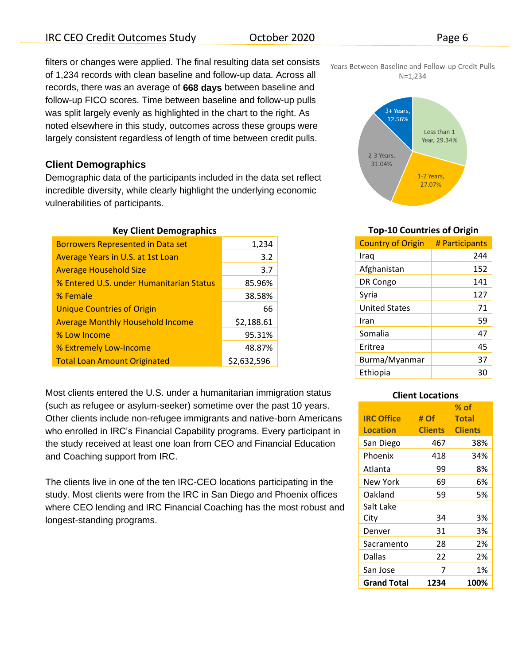filters or changes were applied. The final resulting data set consists of 1,234 records with clean baseline and follow-up data. Across all records, there was an average of **668 days** between baseline and follow-up FICO scores. Time between baseline and follow-up pulls was split largely evenly as highlighted in the chart to the right. As noted elsewhere in this study, outcomes across these groups were largely consistent regardless of length of time between credit pulls.

#### **Client Demographics**

Demographic data of the participants included in the data set reflect incredible diversity, while clearly highlight the underlying economic vulnerabilities of participants.

#### **Key Client Demographics**

| <b>Borrowers Represented in Data set</b> | 1,234       |
|------------------------------------------|-------------|
| Average Years in U.S. at 1st Loan        | 3.2         |
| <b>Average Household Size</b>            | 3.7         |
| % Entered U.S. under Humanitarian Status | 85.96%      |
| % Female                                 | 38.58%      |
| <b>Unique Countries of Origin</b>        | 66          |
| <b>Average Monthly Household Income</b>  | \$2,188.61  |
| % Low Income                             | 95.31%      |
| % Extremely Low-Income                   | 48.87%      |
| <b>Total Loan Amount Originated</b>      | \$2,632,596 |

Most clients entered the U.S. under a humanitarian immigration status (such as refugee or asylum-seeker) sometime over the past 10 years. Other clients include non-refugee immigrants and native-born Americans who enrolled in IRC's Financial Capability programs. Every participant in the study received at least one loan from CEO and Financial Education and Coaching support from IRC.

The clients live in one of the ten IRC-CEO locations participating in the study. Most clients were from the IRC in San Diego and Phoenix offices where CEO lending and IRC Financial Coaching has the most robust and longest-standing programs.





#### **Top-10 Countries of Origin**

| # Participants |
|----------------|
| 244            |
| 152            |
| 141            |
| 127            |
| 71             |
| 59             |
| 47             |
| 45             |
| 37             |
| 30             |
|                |

#### **Client Locations**

|                    |                | $%$ of         |
|--------------------|----------------|----------------|
| <b>IRC Office</b>  | # Of           | <b>Total</b>   |
| <b>Location</b>    | <b>Clients</b> | <b>Clients</b> |
| San Diego          | 467            | 38%            |
| Phoenix            | 418            | 34%            |
| Atlanta            | 99             | 8%             |
| New York           | 69             | 6%             |
| Oakland            | 59             | 5%             |
| Salt Lake          |                |                |
| City               | 34             | 3%             |
| Denver             | 31             | 3%             |
| Sacramento         | 28             | 2%             |
| Dallas             | 22             | 2%             |
| San Jose           | 7              | 1%             |
| <b>Grand Total</b> | 1234           | 100%           |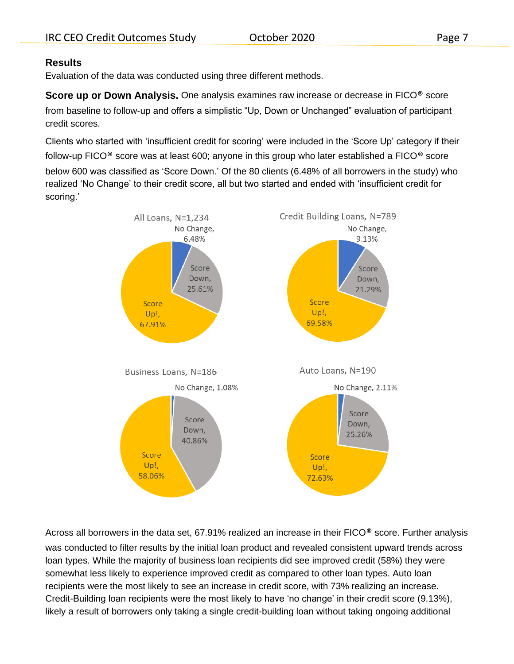#### **Results**

Evaluation of the data was conducted using three different methods.

**Score up or Down Analysis.** One analysis examines raw increase or decrease in FICO<sup>®</sup> score from baseline to follow-up and offers a simplistic "Up, Down or Unchanged" evaluation of participant credit scores.

Clients who started with 'insufficient credit for scoring' were included in the 'Score Up' category if their follow-up FICO® score was at least 600; anyone in this group who later established a FICO® score below 600 was classified as 'Score Down.' Of the 80 clients (6.48% of all borrowers in the study) who realized 'No Change' to their credit score, all but two started and ended with 'insufficient credit for scoring.'



Across all borrowers in the data set, 67.91% realized an increase in their FICO<sup>®</sup> score. Further analysis was conducted to filter results by the initial loan product and revealed consistent upward trends across loan types. While the majority of business loan recipients did see improved credit (58%) they were somewhat less likely to experience improved credit as compared to other loan types. Auto loan recipients were the most likely to see an increase in credit score, with 73% realizing an increase. Credit-Building loan recipients were the most likely to have 'no change' in their credit score (9.13%), likely a result of borrowers only taking a single credit-building loan without taking ongoing additional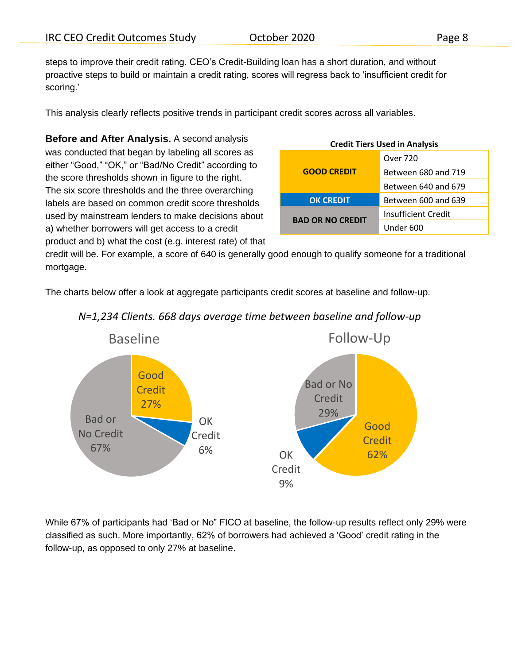steps to improve their credit rating. CEO's Credit-Building loan has a short duration, and without proactive steps to build or maintain a credit rating, scores will regress back to 'insufficient credit for scoring.'

This analysis clearly reflects positive trends in participant credit scores across all variables.

**Before and After Analysis.** A second analysis was conducted that began by labeling all scores as either "Good," "OK," or "Bad/No Credit" according to the score thresholds shown in figure to the right. The six score thresholds and the three overarching labels are based on common credit score thresholds used by mainstream lenders to make decisions about a) whether borrowers will get access to a credit product and b) what the cost (e.g. interest rate) of that

| <b>Credit Tiers Used in Analysis</b> |                     |  |
|--------------------------------------|---------------------|--|
| <b>GOOD CREDIT</b>                   | Over 720            |  |
|                                      | Between 680 and 719 |  |
|                                      | Between 640 and 679 |  |
| <b>OK CREDIT</b>                     | Between 600 and 639 |  |
| <b>BAD OR NO CREDIT</b>              | Insufficient Credit |  |
|                                      | Under 600           |  |

credit will be. For example, a score of 640 is generally good enough to qualify someone for a traditional mortgage.

The charts below offer a look at aggregate participants credit scores at baseline and follow-up.



## *N=1,234 Clients. 668 days average time between baseline and follow-up*

While 67% of participants had 'Bad or No" FICO at baseline, the follow-up results reflect only 29% were classified as such. More importantly, 62% of borrowers had achieved a 'Good' credit rating in the follow-up, as opposed to only 27% at baseline.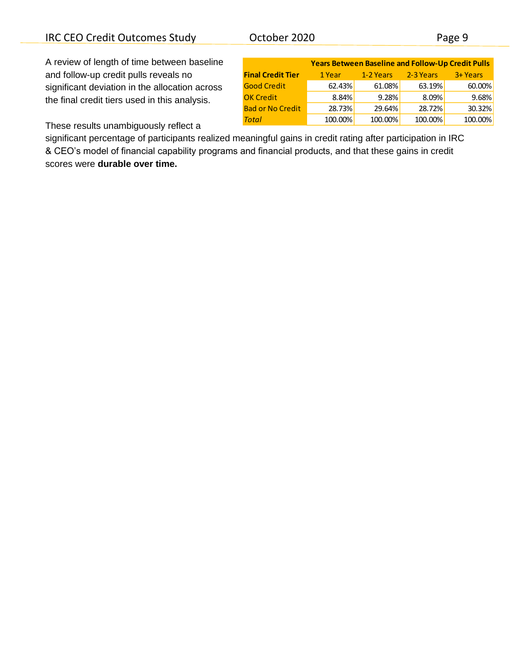### IRC CEO Credit Outcomes Study October 2020 Page 9

A review of length of time between baseline and follow-up credit pulls reveals no significant deviation in the allocation across the final credit tiers used in this analysis.

|                          | <b>Years Between Baseline and Follow-Up Credit Pulls</b> |           |           |          |  |
|--------------------------|----------------------------------------------------------|-----------|-----------|----------|--|
| <b>Final Credit Tier</b> | 1 Year                                                   | 1-2 Years | 2-3 Years | 3+ Years |  |
| <b>Good Credit</b>       | 62.43%                                                   | 61.08%    | 63.19%    | 60.00%   |  |
| <b>OK Credit</b>         | 8.84%                                                    | 9.28%     | 8.09%     | 9.68%    |  |
| <b>Bad or No Credit</b>  | 28.73%                                                   | 29.64%    | 28.72%    | 30.32%   |  |
| <b>Total</b>             | 100.00%                                                  | 100.00%   | 100.00%   | 100.00%  |  |

These results unambiguously reflect a

significant percentage of participants realized meaningful gains in credit rating after participation in IRC & CEO's model of financial capability programs and financial products, and that these gains in credit scores were **durable over time.**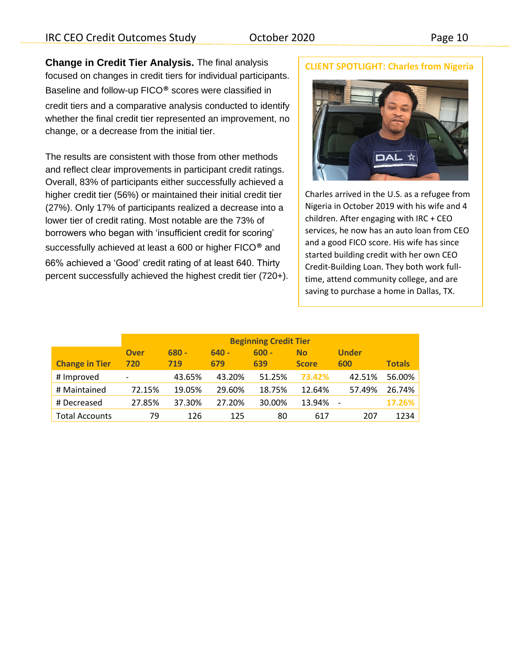**Change in Credit Tier Analysis.** The final analysis focused on changes in credit tiers for individual participants. Baseline and follow-up FICO® scores were classified in credit tiers and a comparative analysis conducted to identify whether the final credit tier represented an improvement, no change, or a decrease from the initial tier.

The results are consistent with those from other methods and reflect clear improvements in participant credit ratings. Overall, 83% of participants either successfully achieved a higher credit tier (56%) or maintained their initial credit tier (27%). Only 17% of participants realized a decrease into a lower tier of credit rating. Most notable are the 73% of borrowers who began with 'insufficient credit for scoring' successfully achieved at least a 600 or higher FICO® and 66% achieved a 'Good' credit rating of at least 640. Thirty percent successfully achieved the highest credit tier (720+).

#### **CLIENT SPOTLIGHT: Charles from Nigeria**



Charles arrived in the U.S. as a refugee from Nigeria in October 2019 with his wife and 4 children. After engaging with IRC + CEO services, he now has an auto loan from CEO and a good FICO score. His wife has since started building credit with her own CEO Credit-Building Loan. They both work fulltime, attend community college, and are saving to purchase a home in Dallas, TX.

|                       | <b>Beginning Credit Tier</b> |         |         |         |              |              |               |
|-----------------------|------------------------------|---------|---------|---------|--------------|--------------|---------------|
|                       | <b>Over</b>                  | $680 -$ | $640 -$ | $600 -$ | <b>No</b>    | <b>Under</b> |               |
| <b>Change in Tier</b> | 720                          | 719     | 679     | 639     | <b>Score</b> | 600          | <b>Totals</b> |
| # Improved            | $\overline{\phantom{0}}$     | 43.65%  | 43.20%  | 51.25%  | 73.42%       | 42.51%       | 56.00%        |
| # Maintained          | 72.15%                       | 19.05%  | 29.60%  | 18.75%  | 12.64%       | 57.49%       | 26.74%        |
| # Decreased           | 27.85%                       | 37.30%  | 27.20%  | 30.00%  | 13.94%       |              | 17.26%        |
| <b>Total Accounts</b> | 79                           | 126     | 125     | 80      | 617          | 207          | 1234          |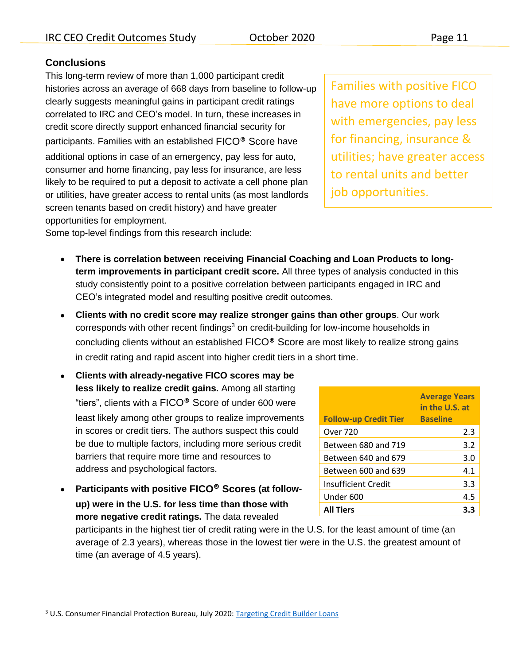## **Conclusions**

This long-term review of more than 1,000 participant credit histories across an average of 668 days from baseline to follow-up clearly suggests meaningful gains in participant credit ratings correlated to IRC and CEO's model. In turn, these increases in credit score directly support enhanced financial security for participants. Families with an established FICO® Score have additional options in case of an emergency, pay less for auto, consumer and home financing, pay less for insurance, are less likely to be required to put a deposit to activate a cell phone plan or utilities, have greater access to rental units (as most landlords screen tenants based on credit history) and have greater opportunities for employment.

Families with positive FICO have more options to deal with emergencies, pay less for financing, insurance & utilities; have greater access to rental units and better job opportunities.

Some top-level findings from this research include:

- **There is correlation between receiving Financial Coaching and Loan Products to longterm improvements in participant credit score.** All three types of analysis conducted in this study consistently point to a positive correlation between participants engaged in IRC and CEO's integrated model and resulting positive credit outcomes.
- **Clients with no credit score may realize stronger gains than other groups**. Our work corresponds with other recent findings $3$  on credit-building for low-income households in concluding clients without an established FICO® Score are most likely to realize strong gains in credit rating and rapid ascent into higher credit tiers in a short time.
- **Clients with already-negative FICO scores may be less likely to realize credit gains.** Among all starting "tiers", clients with a FICO® Score of under 600 were least likely among other groups to realize improvements in scores or credit tiers. The authors suspect this could be due to multiple factors, including more serious credit barriers that require more time and resources to address and psychological factors.
- **Participants with positive FICO® Scores (at followup) were in the U.S. for less time than those with more negative credit ratings.** The data revealed

| <b>Follow-up Credit Tier</b> | <b>Average Years</b><br>in the U.S. at<br><b>Baseline</b> |
|------------------------------|-----------------------------------------------------------|
| Over 720                     | 2.3                                                       |
| Between 680 and 719          | 3.2                                                       |
| Between 640 and 679          | 3.0                                                       |
| Between 600 and 639          | 4.1                                                       |
| Insufficient Credit          | 3.3                                                       |
| Under 600                    | 4.5                                                       |
| <b>All Tiers</b>             |                                                           |

participants in the highest tier of credit rating were in the U.S. for the least amount of time (an average of 2.3 years), whereas those in the lowest tier were in the U.S. the greatest amount of time (an average of 4.5 years).

<sup>&</sup>lt;sup>3</sup> U.S. Consumer Financial Protection Bureau, July 2020: [Targeting Credit Builder Loans](https://www.consumerfinance.gov/data-research/research-reports/targeting-credit-builder-loans/?utm_source=newsletter&utm_medium=email&utm_campaign=OCA&utm_term=July2020)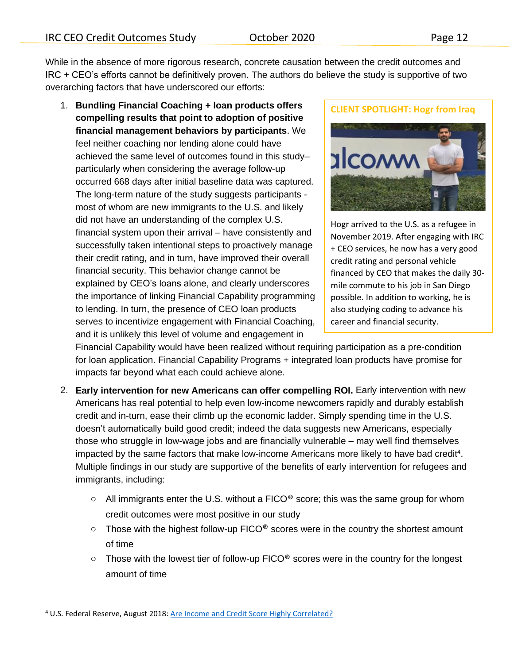While in the absence of more rigorous research, concrete causation between the credit outcomes and IRC + CEO's efforts cannot be definitively proven. The authors do believe the study is supportive of two overarching factors that have underscored our efforts:

1. **Bundling Financial Coaching + loan products offers compelling results that point to adoption of positive financial management behaviors by participants**. We feel neither coaching nor lending alone could have achieved the same level of outcomes found in this study– particularly when considering the average follow-up occurred 668 days after initial baseline data was captured. The long-term nature of the study suggests participants most of whom are new immigrants to the U.S. and likely did not have an understanding of the complex U.S. financial system upon their arrival – have consistently and successfully taken intentional steps to proactively manage their credit rating, and in turn, have improved their overall financial security. This behavior change cannot be explained by CEO's loans alone, and clearly underscores the importance of linking Financial Capability programming to lending. In turn, the presence of CEO loan products serves to incentivize engagement with Financial Coaching, and it is unlikely this level of volume and engagement in

**CLIENT SPOTLIGHT: Hogr from Iraq**



Hogr arrived to the U.S. as a refugee in November 2019. After engaging with IRC + CEO services, he now has a very good credit rating and personal vehicle financed by CEO that makes the daily 30 mile commute to his job in San Diego possible. In addition to working, he is also studying coding to advance his career and financial security.

Financial Capability would have been realized without requiring participation as a pre-condition for loan application. Financial Capability Programs + integrated loan products have promise for impacts far beyond what each could achieve alone.

- 2. **Early intervention for new Americans can offer compelling ROI.** Early intervention with new Americans has real potential to help even low-income newcomers rapidly and durably establish credit and in-turn, ease their climb up the economic ladder. Simply spending time in the U.S. doesn't automatically build good credit; indeed the data suggests new Americans, especially those who struggle in low-wage jobs and are financially vulnerable – may well find themselves impacted by the same factors that make low-income Americans more likely to have bad credit<sup>4</sup>. Multiple findings in our study are supportive of the benefits of early intervention for refugees and immigrants, including:
	- $\circ$  All immigrants enter the U.S. without a FICO<sup>®</sup> score; this was the same group for whom credit outcomes were most positive in our study
	- $\circ$  Those with the highest follow-up FICO<sup>®</sup> scores were in the country the shortest amount of time
	- o Those with the lowest tier of follow-up FICO® scores were in the country for the longest amount of time

<sup>4</sup> U.S. Federal Reserve, August 2018: [Are Income and Credit Score Highly Correlated?](https://www.federalreserve.gov/econres/notes/feds-notes/are-income-and-credit-scores-highly-correlated-20180813.htm)